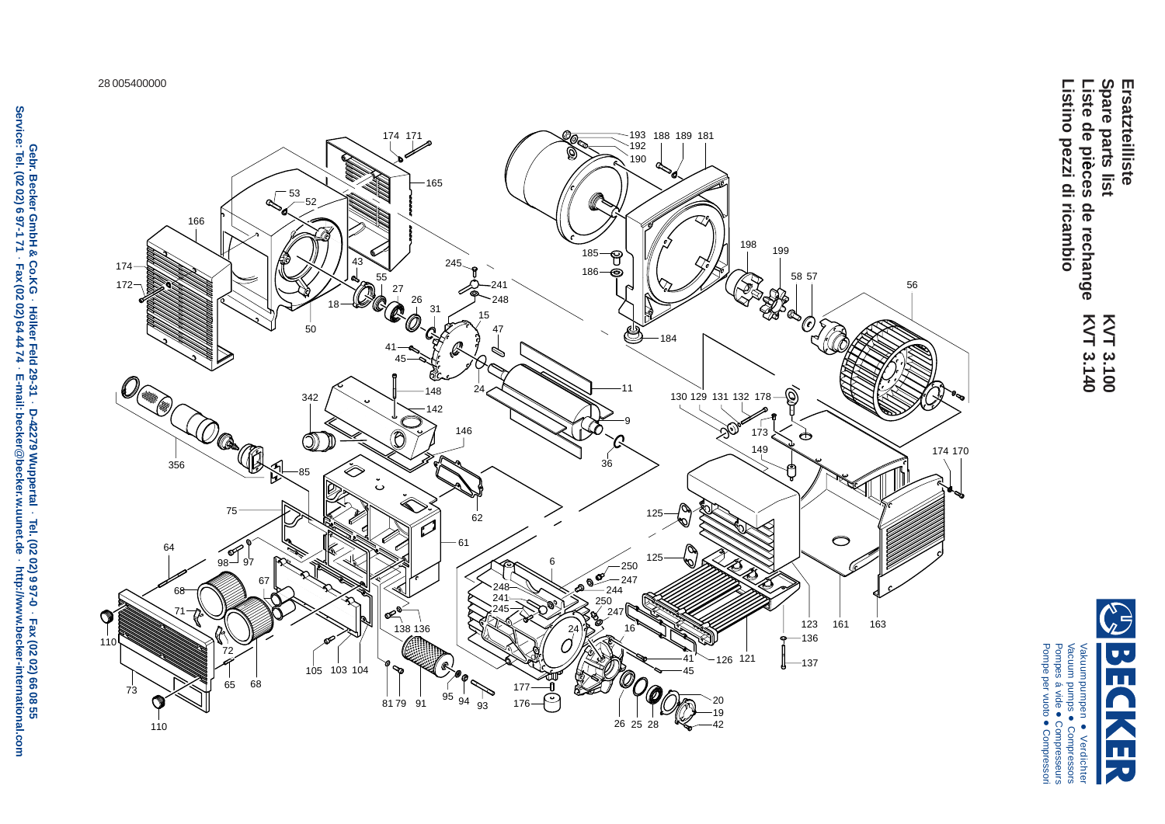28 005400000



Spare parts list **Ersatzteilliste** Listino pezzi di ricambio Liste de pièces de rechange **Spare parts list Listino pezzi di ricambioListe de pi Ersatzteilliste èces de rechange** KVT 3.140 KVT 3.100 **KVT 3.140 KVT 3.100**



Pompes á vide

Pompe per vuoto

Compresseurs

Compressori

**Gebr. Becker GmbH & Co.KG Hölker Feld 29-31 D-42279 Wuppertal Tel. (02 02) 9 97-0 Fax (02 02) 66 08 55 Service: Tel. (02 02) 6 97-1 71 Fax (02 02) 64 44 74 E-mail: becker**@**becker.w.uunet.de http://www.becker-international.com**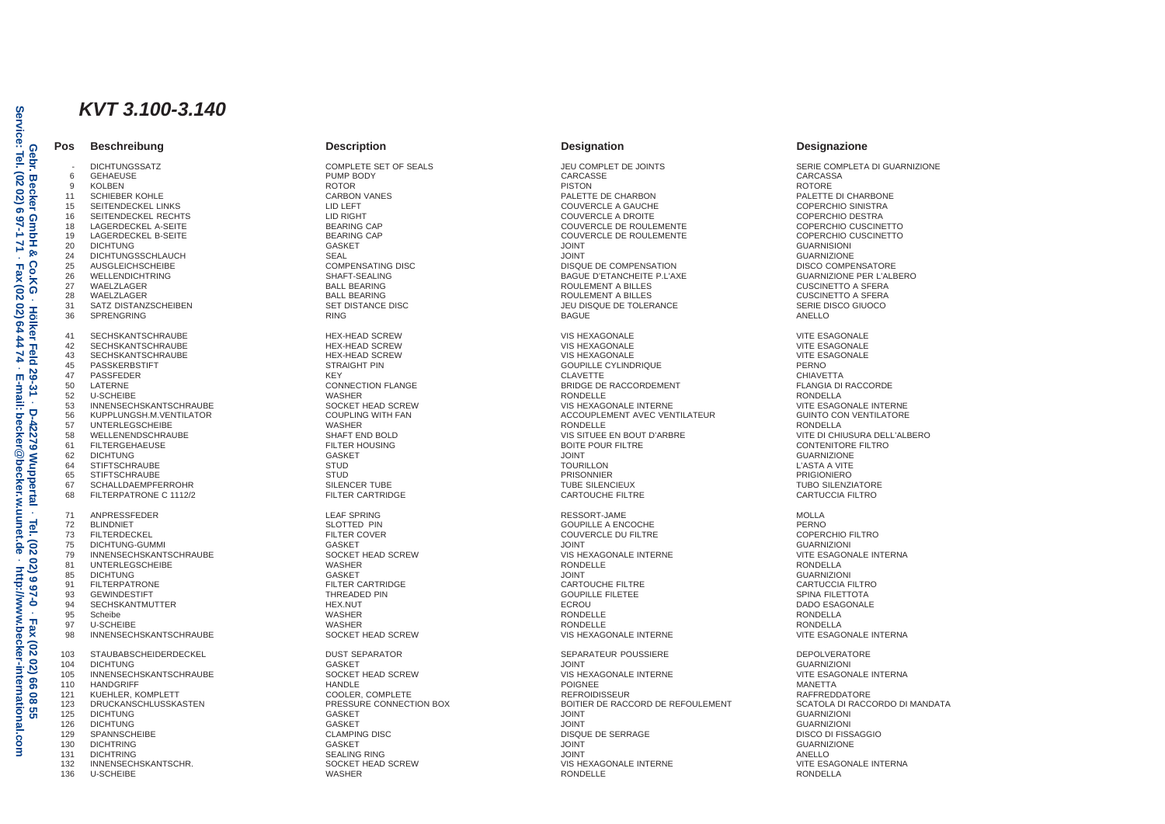# *KVT 3.100-3.140*

**Pos Beschreibung Description Designation Designazione**

- DICHTUNGSSATZ COMPLETE SET OF SEALS JEU COMPLET DE JOINTS SERIE COMPLETA DI GUARNIZIONE 6 GEHAEUSE PUMP BODY CARCASSE CARCASSA

9 KOLBEN ROTORE ROTOR ROTOR PISTON PISTON POLICE PISTON ROTORE 11 SCHIEBER KOHLE CARBON VANES CARROON VANES PALETTE DE CHARBON PALETTE DE CHARBONE PALETTE DI CHARBONE 15 SEITENDECKEL LINKS LID LEFT COUVERCLE A GAUCHE COPERCHIO SINISTRA 16 SEITENDECKEL RECHTS LID RIGHT COUVERCLE A DROITE COPERCHIO DESTRA 18 LAGERDECKEL A-SEITE BEARING CAP COUVERCLE DE ROULEMENTE COPERCHIO CUSCINETTO 19 LAGERDECKEL B-SEITE BEARING CAP COUVERCLE DE ROULEMENTE COPERCHIO CUSCINETTO 20 DICHTUNG GASKET JOINT GUARNISIONI 24 DICHTUNGSSCHLAUCH SEAL JOINT GUARNIZIONE 25 AUSGLEICHSCHEIBE COMPENSATING DISC DISQUE DE COMPENSATION DISCO COMPENSATORE 26 WELLENDICHTRING SHAFT-SEALING BAGUE D'ETANCHEITE P.L'AXE GUARNIZIONE PER L'ALBERO 27 WAELZLAGER BALL BEARING ROULEMENT A BILLES CUSCINETTO A SFERA 28 WAELZLAGER BALL BEARING ROULEMENT A BILLES CUSCINETTO A SFERA 31 SATZ DISTANZSCHEIBEN SET DISTANCE DISC JEU DISQUE DE TOLERANCE SERIE DISCO GIUOCO 36 SPRENGRING RING BAGUE ANELLO 41 SECHSKANTSCHRAUBE HEX-HEAD SCREW VIS HEXAGONALE VITE ESAGONALE 42 SECHSKANTSCHRAUBE HEX-HEAD SCREW VIS HEXAGONALE VITE ESAGONALE 43 SECHSKANTSCHRAUBE HEX-HEAD SCREW VIS HEXAGONALE VITE ESAGONALE 45 PASSKERBSTIFT STRAIGHT PIN GOUPILLE CYLINDRIQUE PERNO 47 PASSFEDER KEY CLAVETTE CHIAVETTA 50 LATERNE CONNECTION FLANGE BRIDGE DE RACCORDEMENT FLANGIA DI RACCORDE 52 U-SCHEIBE WASHER RONDELLE RONDELLA 53 INNENSECHSKANTSCHRAUBE SOCKET HEAD SCREW VIS HEXAGONALE INTERNE VITE ESAGONALE INTERNE 56 KUPPLUNGSH.M.VENTILATOR COUPLING WITH FAN ACCOUPLEMENT AVEC VENTILATEUR GUINTO CON VENTILATORE 57 UNTERLEGSCHEIBE WASHER RONDELLE RONDELLA 58 WELLENENDSCHRAUBE SHAFT END BOLD SHAFT END BOLD SHAFT END BOLD VIS SITUEE EN BOUT D'ARBRE VITE DI CHIUSURA DELL'ALBERO<br>1999 - SILTERGEHAEUSE SHAFT END BOLD SHAFT END BOLD SHAFT END BOLD BOLD BOUTE POUR FILTRE SHOWEN ON 61 FILTERGEHAEUSE FILTER HOUSING BOITE POUR FILTRE CONTENITORE FILTRO 62 DICHTUNG GASKET JOINT GUARNIZIONE 64 STIFTSCHRAUBE L'ASTA A VITE STUD STUDINI STUDINI SON L'ASTA A VITE SON L'ASTA A VITE SON L'ASTA A VITE SON 65 STIFTSCHRAUBE STUD PRISONNIER PRIGIONIERO 67 SCHALLDAEMPFERROHR SILENCER TUBE TUBE SILENCIEUX TUBO SILENZIATORE 68 FILTERPATRONE C 1112/2 FILTER CARTRIDGE CARTRIDGE CARTOUCHE FILTRE CARTOUCHE FILTRE CARTUCCIA FILTRO 71 ANPRESSFEDER LEAF SPRING LEAF SPRING LEAF SPRING RESSORT-JAME RESSORT-JAME LEAF SPRING RESSORT-JAME LEAF SPRING 72 BLINDNIET SLOTTED PIN GOUPILLE A ENCOCHE PERNO 73 FILTERDECKEL FILTER COVER COUVERCLE DU FILTRE COPERCHIO FILTRO 75 DICHTUNG-GUMMI GASKET JOINT GUARNIZIONI 79 INNENSECHSKANTSCHRAUBE SOCKET HEAD SCREW VIS HEXAGONALE INTERNE VITE ESAGONALE INTERNA 81 UNTERLEGSCHEIBE WASHER RONDELLE RONDELLA 85 DICHTUNG GASKET JOINT GUARNIZIONI 91 FILTERPATRONE FILTER CARTRIDGE CARTOUCHE FILTRE CARTUCCIA FILTRO 93 GEWINDESTIFT SPINA FILETTOTA THREADED PIN GOUPILLE FILETEE SPINA FILETTOTA SPINA FILETTOTA 94 SECHSKANTMUTTER HEX.NUT ECROU DADO ESAGONALE 95 Scheibe WASHER RONDELLE RONDELLA 97 U-SCHEIBE WASHER RONDELLE RONDELLA 98 INNENSECHSKANTSCHRAUBE SOCKET HEAD SCREW VIS HEXAGONALE INTERNE VITE ESAGONALE INTERNA 103 STAUBABSCHEIDERDECKEL DUST SEPARATOR SEPARATEUR POUSSIERE DEPOLVERATORE 104 DICHTUNG GASKET JOINT GUARNIZIONI 105 INNENSECHSKANTSCHRAUBE SOCKET HEAD SCREW VIS HEXAGONALE INTERNE VITE ESAGONALE INTERNA 110 HANDGRIFF HANDLE POIGNEE MANETTA 121 KUEHLER, KOMPLETT COOLER, COMPLETE REFROIDISSEUR RAFFREDDATORE 123 DRUCKANSCHLUSSKASTEN PRESSURE CONNECTION BOX BOITIER DE RACCORD DE REFOULEMENT SCATOLA DI RACCORDO DI MANDATA 125 DICHTUNG GASKET JOINT GUARNIZIONI 126 DICHTUNG GUARNIZIONI GASKET GASKET ANN GASKET ANN GASKET ANN GUARNIZIONI GUARNIZIONI GUARNIZIONI 129 SPANNSCHEIBE CLAMPING DISC DISQUE DE SERRAGE DISCO DI FISSAGGIO 130 DICHTRING GASKET JOINT GUARNIZIONE 131 DICHTRING SEALING RING JOINT ANELLO 132 INNENSECHSKANTSCHR. SOCKET HEAD SCREW VIS HEXAGONALE INTERNE VITE ESAGONALE INTERNA 136 U-SCHEIBE WASHER RONDELLE RONDELLA

·

r Feld<br>44 74 59 E-mail: يٰ

 **E-mail: becker**

@

**becker.w.uunet.de** 

 **D-42279 Wuppertal** 

D-42279 Wuppertal

 **Tel. (02 02) 9 97-0** 

 $\overline{8}$ **http://ww**  $0 - 266$ 

·

Fax  $\overline{20}$  $\overline{02}$ 99  $\bf{8}$  $\tilde{g}$ 

 **Fax (02 02) 66 08 55**

 **http://www.becker-international.com**

ww.becker-international

moo.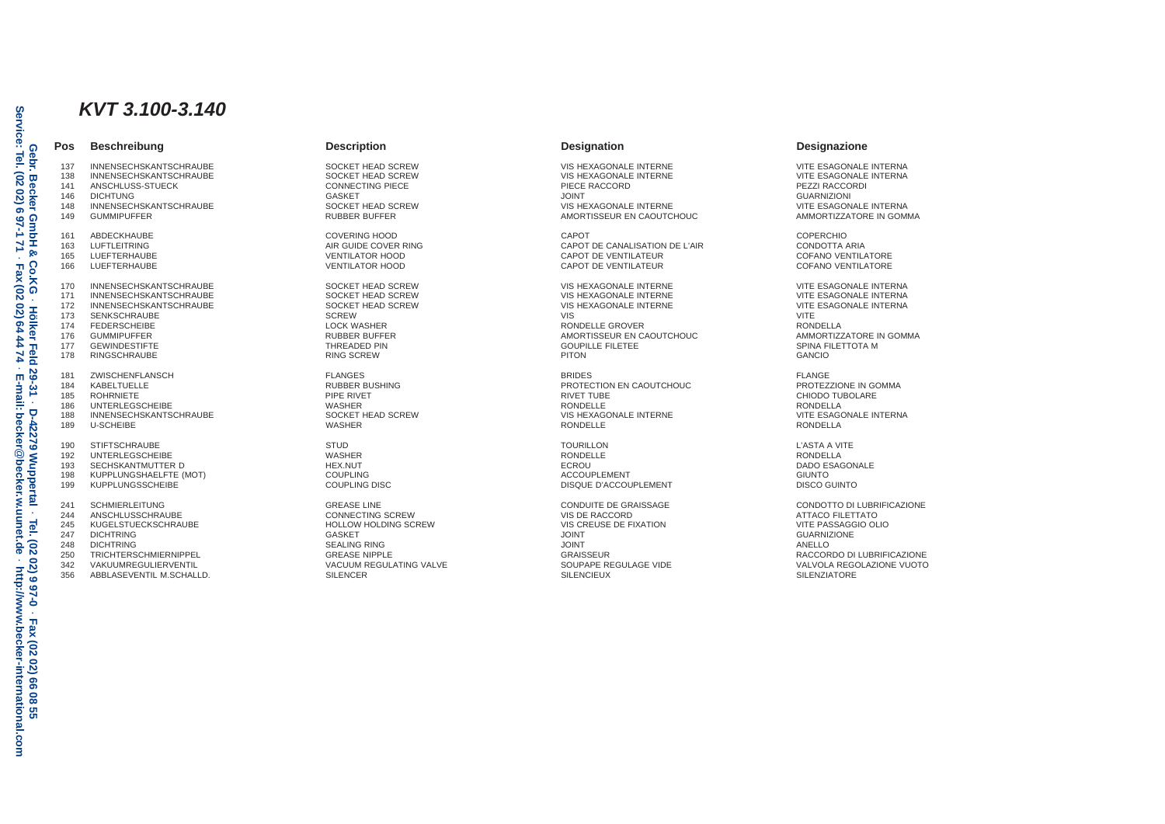# *KVT 3.100-3.140*

## **Pos Beschreibung Description Designation Designazione**

137 INNENSECHSKANTSCHRAUBE SOCKET HEAD SCREW VIS HEXAGONALE INTERNE VITE ESAGONALE INTERNA 138 INNENSECHSKANTSCHRAUBE SOCKET HEAD SCREW VIS HEXAGONALE INTERNE VITE ESAGONALE INTERNA 141 ANSCHLUSS-STUECK CONNECTING PIECE PIECE RACCORD PEZZI RACCORDI 146 DICHTUNG GASKET JOINT GUARNIZIONI 148 INNENSECHSKANTSCHRAUBE SOCKET HEAD SCREW VIS HEXAGONALE INTERNE VITE ESAGONALE INTERNA 161 ABDECKHAUBE COVERING HOOD CAPOT COPERCHIO 163 LUFTLEITRING AIR GUIDE COVER RING CAPOT DE CANALISATION DE L'AIR CONDOTTA ARIA 165 LUEFTERHAUBE VENTILATOR HOOD CAPOT DE VENTILATEUR COFANO VENTILATORE 166 LUEFTERHAUBE VENTILATOR HOOD CAPOT DE VENTILATEUR COFANO VENTILATORE 170 INNENSECHSKANTSCHRAUBE SOCKET HEAD SCREW VIS HEXAGONALE INTERNE VITE ESAGONALE INTERNA 171 INNENSECHSKANTSCHRAUBE SOCKET HEAD SCREW VIS HEXAGONALE INTERNE VITE ESAGONALE INTERNA 172 INNENSECHSKANTSCHRAUBE SOCKET HEAD SCREW VIS HEXAGONALE INTERNE VITE ESAGONALE INTERNA 173 SENKSCHRAUBE SCREW VIS VITE 174 FEDERSCHEIBE LOOK WASHER LOCK WASHER RONDELLE GROVER RONDELLE GROVER RONDELLA 176 GUMMIPUFFER RUBBER BUFFER AMORTISSEUR EN CAOUTCHOUC AMMORTIZZATORE IN GOMMA 177 GEWINDESTIFTE SPINA FILETTOTA MORE THREADED PIN GOUPILLE FILETE SPINA FILETTOTA MORE SPINA FILETTOTA MORE 178 RINGSCHRAUBE RING SCREW PITON GANCIO 181 ZWISCHENFLANSCH FLANGES BRIDES FLANGE ed and the test of the set of the set of the set of the set of the set of the set of the set of the set of the<br>185 ROHRNIETE THE SET ON TUBOLARE PROTECTION ENGINEERING A SET ON TUBE SET ON TUBOLARE SET ON TUBOLARE A SET O 185 ROHRNIETE EN EN EN DIE RIVET DE RIVET DE RIVET TUBE DE RIVET TUBE DE LA CHIODO TUBOLARE 186 UNTERLEGSCHEIBE WASHER RONDELLE RONDELLA 188 INNENSECHSKANTSCHRAUBE SOCKET HEAD SCREW SOCKET HEAD SOFT WAS SERVICED ASSOCKED MANAGONALE INTERNE WITE ESAGONALE INTERNA 189 U-SCHEIBE WASHER RONDELLE RONDELLA 190 STIFTSCHRAUBE L'ASTA A VITE STUD STUDINI STUDINI SULL'ASTA A VITE STUDINI SULL'ASTA A VITE STUDINI SULL'ASTA A VITE 192 UNTERLEGSCHEIBE WASHER RONDELLE RONDELLA 193 SECHSKANTMUTTER D HEX.NUT ECROU DADO ESAGONALE 198 KUPPLUNGSHAELFTE (MOT) COUPLING ACCOUPLEMENT GIUNTO 241 SCHMIERLEITUNG NEURIFICAZIONE GREASE LINE GREASE LINE CONDUITE DE GRAISSAGE CONDUITE DE GRAISSAGE CONDOTTO DI LUBRIFICAZIONE ANNO 1999 DE CONDOTTO DI LUBRIFICAZIONE CONDUITE DE GRAISSAGE CONDOTTO DI LUBRIFICAZIONE COND 244 ANSCHLUSSCHRAUBE CONNECTING SCREW VIS DE RACCORD ATTACO FILETTATO 245 KUGELSTUECKSCHRAUBE HOLLOW HOLDING SCREW VIS CREUSE DE FIXATION VITE PASSAGGIO OLIO 247 DICHTRING GASKET JOINT GUARNIZIONE

ABBLASEVENTIL M.SCHALLD.

248 DICHTRING SEALING RING JOINT ANELLO

AMORTISSEUR EN CAOUTCHOUC

DISQUE D'ACCOUPLEMENT

250 TRICHTERSCHMIERNIPPEL<br>242 VAKILIMREGIJI ERVENTII – EN SACILIM GRAINE VACILIM REGILI ATING VALVE – SALIPAPE REGILI AGE VIDE – SACILI<br>242 VAKILIMREGIJI ERVENTII – SACILIM VACILIM REGILI ATING VALVE – SALIPAPE REGILI AGE 342 VAKUUMREGULIERVENTIL VACUUM REGULATING VALVE SOUPAPE REGULAGE VIDE VALVOLA REGOLAZIONE VUOTO